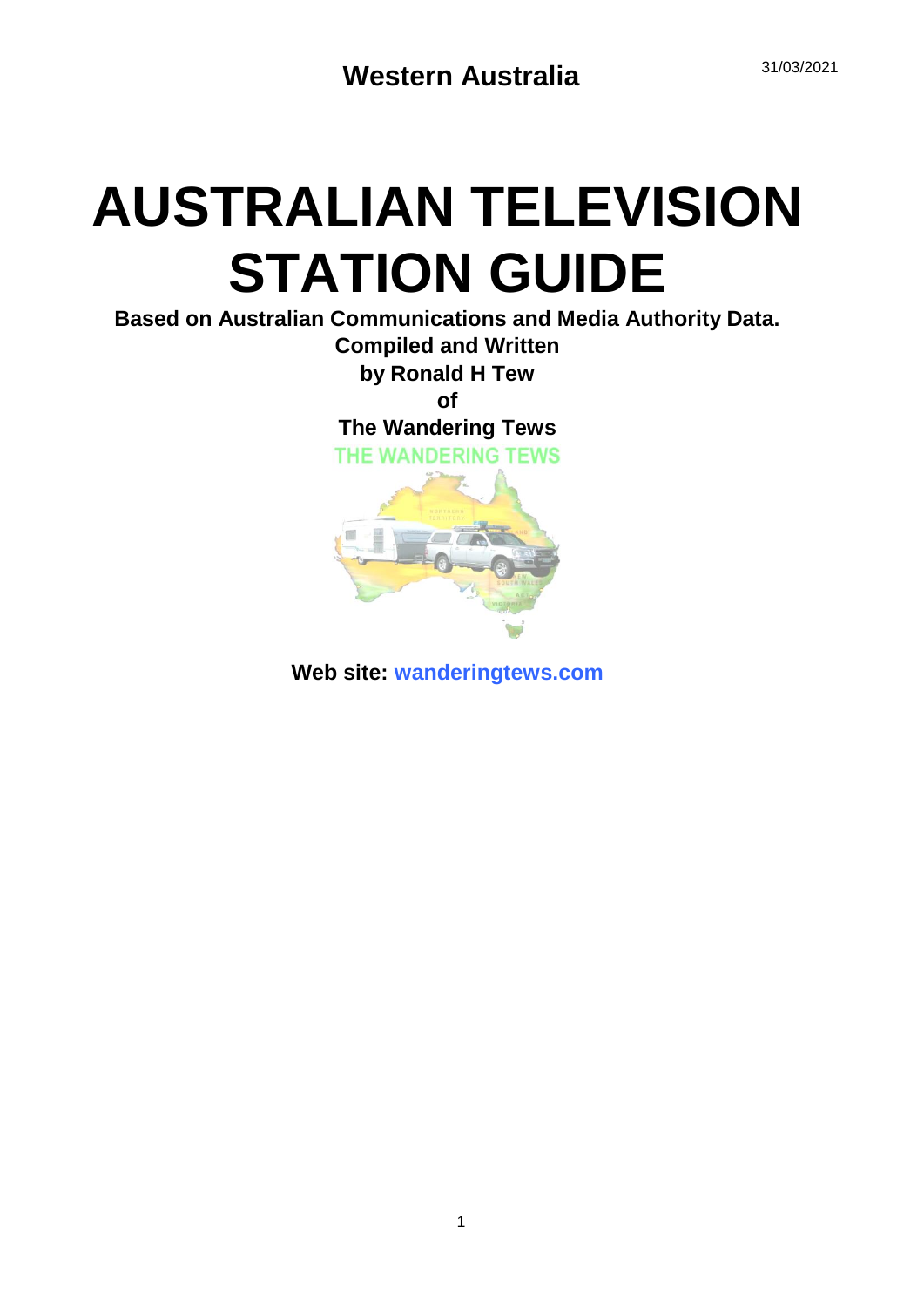# **AUSTRALIAN TELEVISION STATION GUIDE**

**Based on Australian Communications and Media Authority Data.**

**Compiled and Written by Ronald H Tew**

**of**

**The Wandering Tews**

**THE WANDERING TEWS** 



**Web site: wanderingtews.com**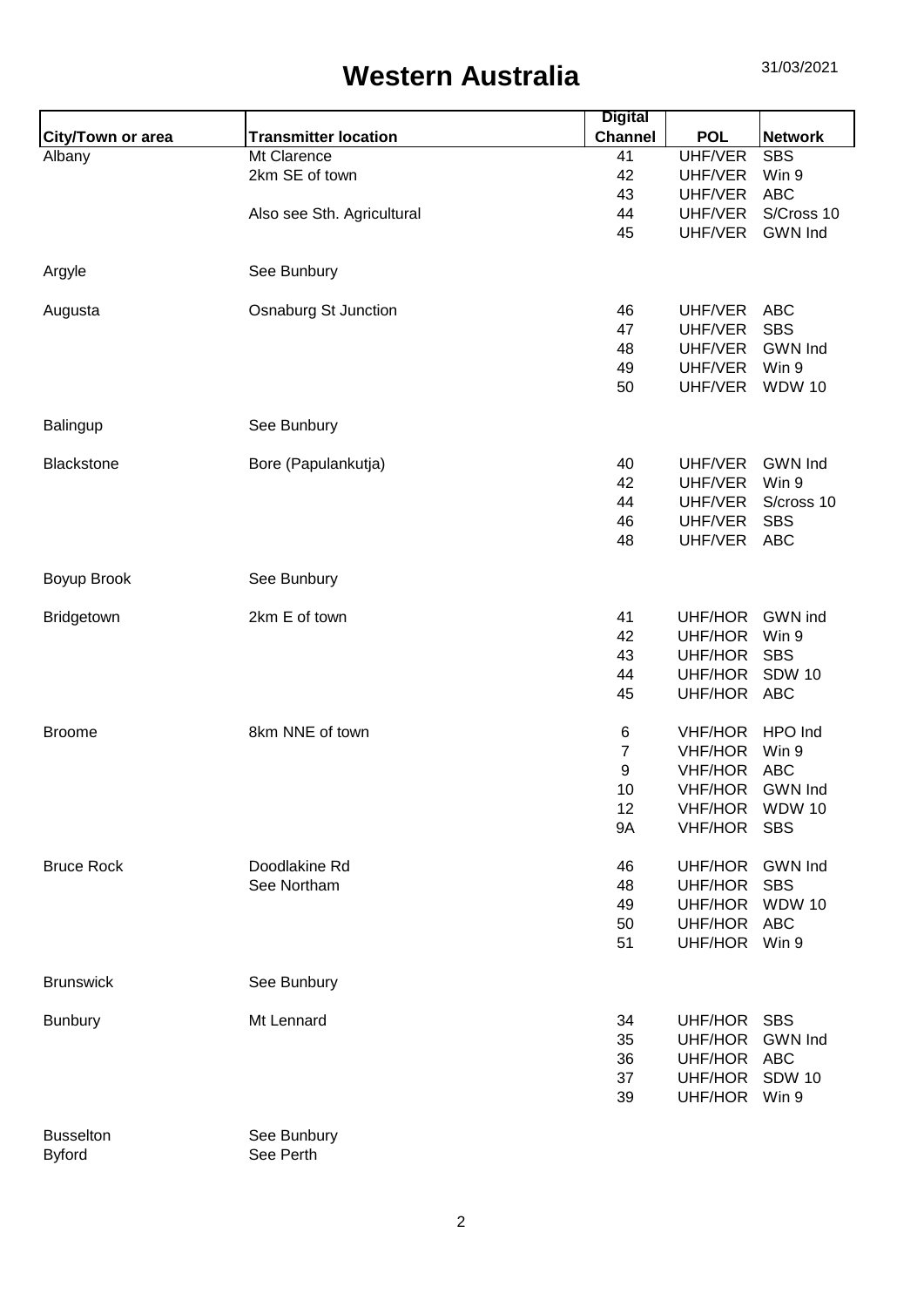|                          |                             | <b>Digital</b> |                |                |
|--------------------------|-----------------------------|----------------|----------------|----------------|
| <b>City/Town or area</b> | <b>Transmitter location</b> | <b>Channel</b> | <b>POL</b>     | <b>Network</b> |
| Albany                   | Mt Clarence                 | 41             | <b>UHF/VER</b> | <b>SBS</b>     |
|                          | 2km SE of town              | 42             | UHF/VER        | Win 9          |
|                          |                             | 43             | UHF/VER        | <b>ABC</b>     |
|                          | Also see Sth. Agricultural  | 44             | UHF/VER        | S/Cross 10     |
|                          |                             | 45             | UHF/VER        | <b>GWN Ind</b> |
| Argyle                   | See Bunbury                 |                |                |                |
| Augusta                  | <b>Osnaburg St Junction</b> | 46             | UHF/VER        | <b>ABC</b>     |
|                          |                             | 47             | UHF/VER        | <b>SBS</b>     |
|                          |                             | 48             | UHF/VER        | <b>GWN Ind</b> |
|                          |                             | 49             | UHF/VER        | Win 9          |
|                          |                             | 50             | UHF/VER        | <b>WDW 10</b>  |
| Balingup                 | See Bunbury                 |                |                |                |
| <b>Blackstone</b>        | Bore (Papulankutja)         | 40             | UHF/VER        | <b>GWN Ind</b> |
|                          |                             | 42             | UHF/VER        | Win 9          |
|                          |                             | 44             | UHF/VER        | S/cross 10     |
|                          |                             | 46             | UHF/VER        | <b>SBS</b>     |
|                          |                             | 48             | UHF/VER        | <b>ABC</b>     |
| Boyup Brook              | See Bunbury                 |                |                |                |
| Bridgetown               | 2km E of town               | 41             | UHF/HOR        | GWN ind        |
|                          |                             | 42             | UHF/HOR        | Win 9          |
|                          |                             | 43             | UHF/HOR        | <b>SBS</b>     |
|                          |                             | 44             | UHF/HOR        | <b>SDW 10</b>  |
|                          |                             | 45             | UHF/HOR ABC    |                |
| <b>Broome</b>            | 8km NNE of town             | 6              | <b>VHF/HOR</b> | HPO Ind        |
|                          |                             | $\overline{7}$ | <b>VHF/HOR</b> | Win 9          |
|                          |                             | 9              | <b>VHF/HOR</b> | <b>ABC</b>     |
|                          |                             | 10             | <b>VHF/HOR</b> | <b>GWN Ind</b> |
|                          |                             | 12             |                | VHF/HOR WDW 10 |
|                          |                             | <b>9A</b>      | VHF/HOR SBS    |                |
| <b>Bruce Rock</b>        | Doodlakine Rd               | 46             | UHF/HOR        | <b>GWN Ind</b> |
|                          | See Northam                 | 48             | UHF/HOR        | <b>SBS</b>     |
|                          |                             | 49             | UHF/HOR        | <b>WDW 10</b>  |
|                          |                             | 50             | UHF/HOR        | <b>ABC</b>     |
|                          |                             | 51             | UHF/HOR Win 9  |                |
| <b>Brunswick</b>         | See Bunbury                 |                |                |                |
| <b>Bunbury</b>           | Mt Lennard                  | 34             | UHF/HOR        | <b>SBS</b>     |
|                          |                             | 35             | UHF/HOR        | <b>GWN Ind</b> |
|                          |                             | 36             | UHF/HOR ABC    |                |
|                          |                             | 37             | UHF/HOR SDW 10 |                |
|                          |                             | 39             | UHF/HOR Win 9  |                |
| <b>Busselton</b>         | See Bunbury                 |                |                |                |
| <b>Byford</b>            | See Perth                   |                |                |                |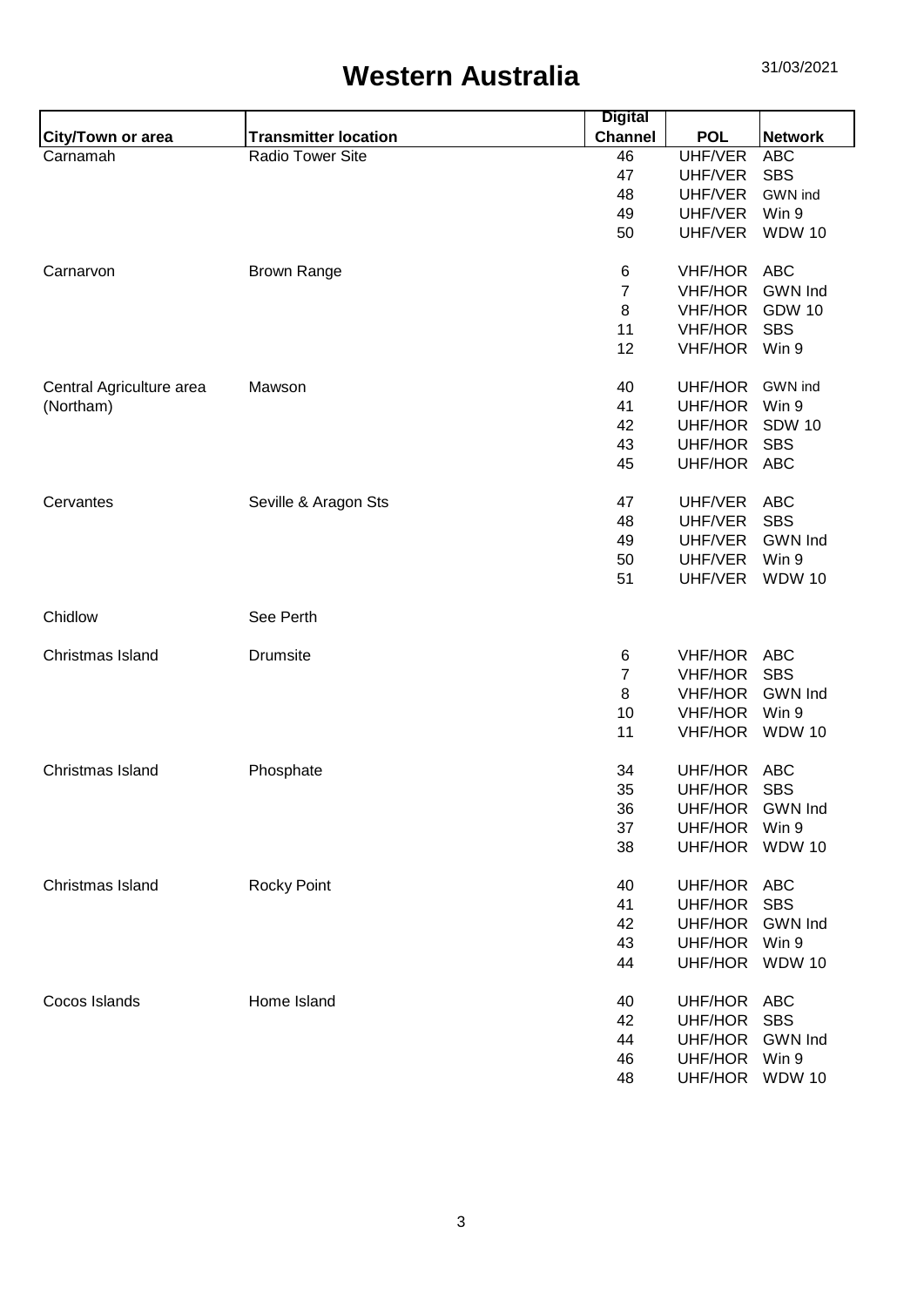|                          |                             | <b>Digital</b> |                |                |
|--------------------------|-----------------------------|----------------|----------------|----------------|
| <b>City/Town or area</b> | <b>Transmitter location</b> | <b>Channel</b> | <b>POL</b>     | <b>Network</b> |
| Carnamah                 | Radio Tower Site            | 46             | UHF/VER        | <b>ABC</b>     |
|                          |                             | 47             | UHF/VER        | <b>SBS</b>     |
|                          |                             | 48             | UHF/VER        | GWN ind        |
|                          |                             | 49             | UHF/VER        | Win 9          |
|                          |                             | 50             | UHF/VER        | <b>WDW 10</b>  |
| Carnarvon                | <b>Brown Range</b>          | 6              | VHF/HOR ABC    |                |
|                          |                             | $\overline{7}$ | <b>VHF/HOR</b> | <b>GWN Ind</b> |
|                          |                             | 8              | <b>VHF/HOR</b> | <b>GDW 10</b>  |
|                          |                             | 11             | <b>VHF/HOR</b> | <b>SBS</b>     |
|                          |                             | 12             | <b>VHF/HOR</b> | Win 9          |
| Central Agriculture area | Mawson                      | 40             | UHF/HOR        | GWN ind        |
| (Northam)                |                             | 41             | UHF/HOR        | Win 9          |
|                          |                             | 42             | UHF/HOR        | <b>SDW 10</b>  |
|                          |                             | 43             | UHF/HOR        | <b>SBS</b>     |
|                          |                             | 45             | UHF/HOR        | ABC            |
| Cervantes                | Seville & Aragon Sts        | 47             | UHF/VER        | <b>ABC</b>     |
|                          |                             | 48             | UHF/VER        | <b>SBS</b>     |
|                          |                             | 49             | UHF/VER        | <b>GWN Ind</b> |
|                          |                             | 50             | UHF/VER        | Win 9          |
|                          |                             | 51             | UHF/VER        | <b>WDW 10</b>  |
| Chidlow                  | See Perth                   |                |                |                |
| Christmas Island         | <b>Drumsite</b>             | 6              | <b>VHF/HOR</b> | <b>ABC</b>     |
|                          |                             | $\overline{7}$ | <b>VHF/HOR</b> | <b>SBS</b>     |
|                          |                             | 8              | <b>VHF/HOR</b> | <b>GWN Ind</b> |
|                          |                             | 10             | <b>VHF/HOR</b> | Win 9          |
|                          |                             | 11             | <b>VHF/HOR</b> | <b>WDW 10</b>  |
| Christmas Island         | Phosphate                   | 34             | <b>UHF/HOR</b> | <b>ABC</b>     |
|                          |                             | 35             | UHF/HOR        | <b>SBS</b>     |
|                          |                             | 36             | UHF/HOR        | <b>GWN Ind</b> |
|                          |                             | 37             | UHF/HOR        | Win 9          |
|                          |                             | 38             | UHF/HOR        | <b>WDW 10</b>  |
| Christmas Island         | <b>Rocky Point</b>          | 40             | UHF/HOR        | <b>ABC</b>     |
|                          |                             | 41             | UHF/HOR        | <b>SBS</b>     |
|                          |                             | 42             | UHF/HOR        | <b>GWN Ind</b> |
|                          |                             | 43             | UHF/HOR        | Win 9          |
|                          |                             | 44             | UHF/HOR        | <b>WDW 10</b>  |
| Cocos Islands            | Home Island                 | 40             | UHF/HOR ABC    |                |
|                          |                             | 42             | UHF/HOR        | <b>SBS</b>     |
|                          |                             | 44             | <b>UHF/HOR</b> | <b>GWN</b> Ind |
|                          |                             | 46             | UHF/HOR        | Win 9          |
|                          |                             | 48             | UHF/HOR WDW 10 |                |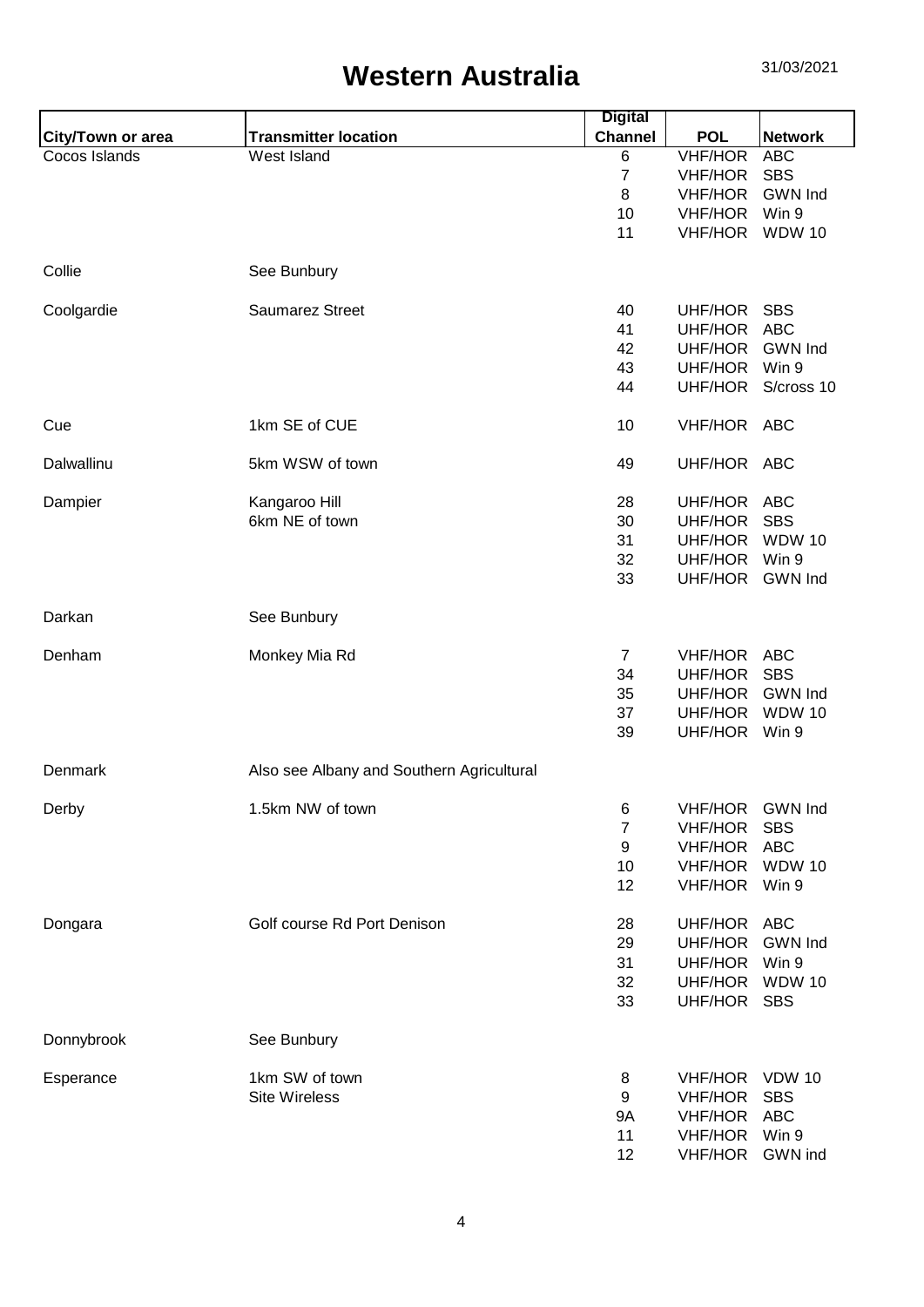|                          |                                           | <b>Digital</b> |                 |                |
|--------------------------|-------------------------------------------|----------------|-----------------|----------------|
| <b>City/Town or area</b> | <b>Transmitter location</b>               | <b>Channel</b> | <b>POL</b>      | <b>Network</b> |
| Cocos Islands            | West Island                               | 6              | <b>VHF/HOR</b>  | <b>ABC</b>     |
|                          |                                           | $\overline{7}$ | <b>VHF/HOR</b>  | <b>SBS</b>     |
|                          |                                           | 8              | <b>VHF/HOR</b>  | <b>GWN Ind</b> |
|                          |                                           | 10             | <b>VHF/HOR</b>  | Win 9          |
|                          |                                           | 11             | <b>VHF/HOR</b>  | <b>WDW 10</b>  |
|                          |                                           |                |                 |                |
| Collie                   | See Bunbury                               |                |                 |                |
| Coolgardie               | <b>Saumarez Street</b>                    | 40             | UHF/HOR SBS     |                |
|                          |                                           | 41             | UHF/HOR ABC     |                |
|                          |                                           | 42             | UHF/HOR         | <b>GWN Ind</b> |
|                          |                                           | 43             | UHF/HOR         | Win 9          |
|                          |                                           | 44             | UHF/HOR         | S/cross 10     |
|                          |                                           |                |                 |                |
| Cue                      | 1km SE of CUE                             | 10             | VHF/HOR ABC     |                |
| Dalwallinu               | 5km WSW of town                           | 49             | UHF/HOR ABC     |                |
| Dampier                  | Kangaroo Hill                             | 28             | UHF/HOR ABC     |                |
|                          | 6km NE of town                            | 30             | UHF/HOR         | <b>SBS</b>     |
|                          |                                           | 31             | UHF/HOR         | <b>WDW 10</b>  |
|                          |                                           | 32             | UHF/HOR         | Win 9          |
|                          |                                           | 33             | UHF/HOR GWN Ind |                |
|                          |                                           |                |                 |                |
| Darkan                   | See Bunbury                               |                |                 |                |
| Denham                   | Monkey Mia Rd                             | $\overline{7}$ | VHF/HOR ABC     |                |
|                          |                                           | 34             | UHF/HOR         | <b>SBS</b>     |
|                          |                                           | 35             | UHF/HOR         | <b>GWN Ind</b> |
|                          |                                           |                |                 | <b>WDW 10</b>  |
|                          |                                           | 37             | UHF/HOR         |                |
|                          |                                           | 39             | UHF/HOR Win 9   |                |
| Denmark                  | Also see Albany and Southern Agricultural |                |                 |                |
| Derby                    | 1.5km NW of town                          | 6              | VHF/HOR GWN Ind |                |
|                          |                                           | 7              | <b>VHF/HOR</b>  | <b>SBS</b>     |
|                          |                                           | 9              | <b>VHF/HOR</b>  | <b>ABC</b>     |
|                          |                                           | 10             | <b>VHF/HOR</b>  | <b>WDW 10</b>  |
|                          |                                           | 12             | VHF/HOR Win 9   |                |
|                          |                                           |                |                 |                |
| Dongara                  | Golf course Rd Port Denison               | 28             | UHF/HOR         | ABC            |
|                          |                                           | 29             | UHF/HOR GWN Ind |                |
|                          |                                           | 31             | UHF/HOR         | Win 9          |
|                          |                                           | 32             | UHF/HOR WDW 10  |                |
|                          |                                           | 33             | UHF/HOR SBS     |                |
| Donnybrook               | See Bunbury                               |                |                 |                |
|                          |                                           |                |                 |                |
| Esperance                | 1km SW of town                            | 8              | VHF/HOR VDW 10  |                |
|                          | <b>Site Wireless</b>                      | 9              | <b>VHF/HOR</b>  | <b>SBS</b>     |
|                          |                                           | 9A             | <b>VHF/HOR</b>  | <b>ABC</b>     |
|                          |                                           | 11             | VHF/HOR Win 9   |                |
|                          |                                           | 12             | VHF/HOR GWN ind |                |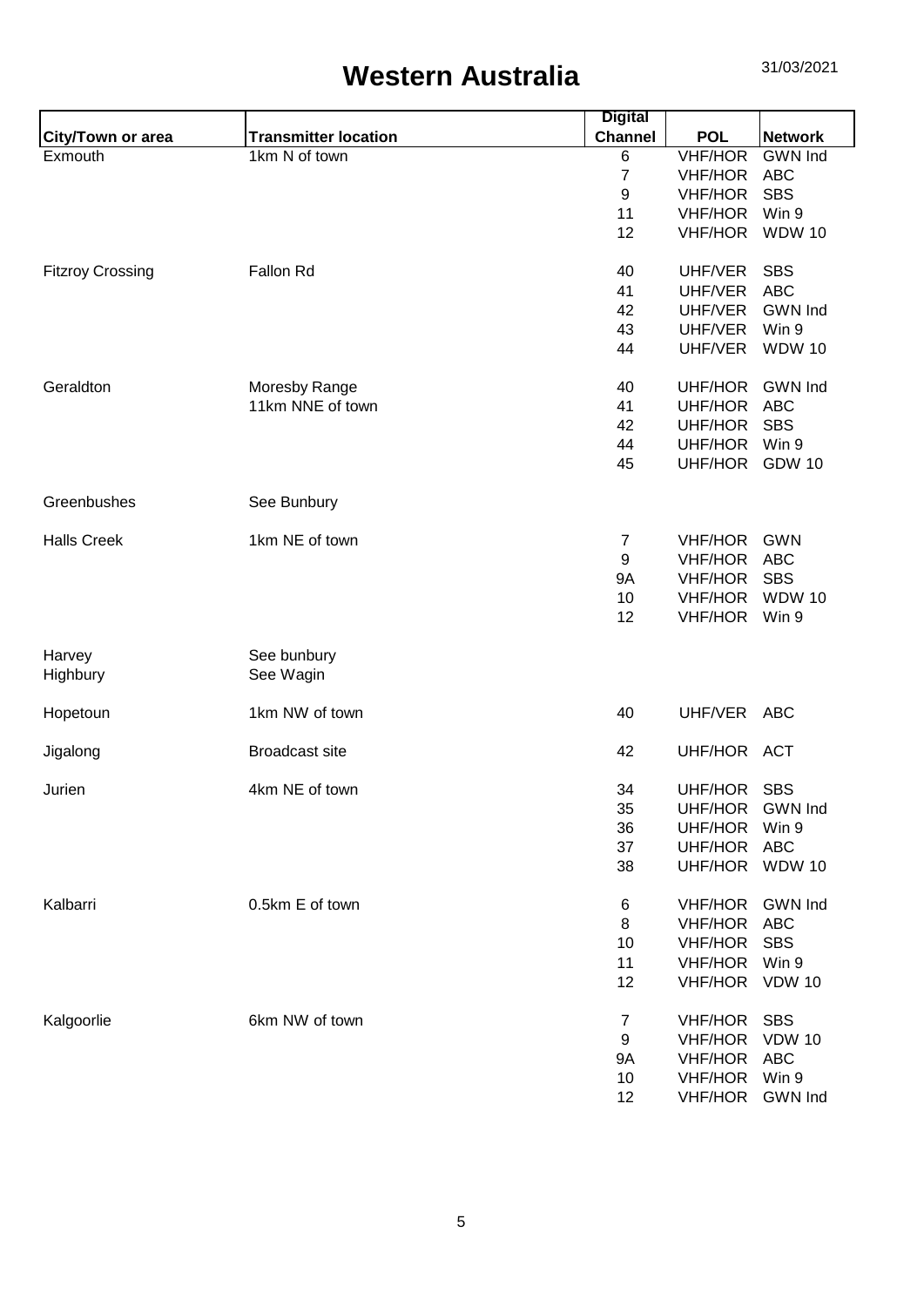|                          |                             | <b>Digital</b>   |                |                |
|--------------------------|-----------------------------|------------------|----------------|----------------|
| <b>City/Town or area</b> | <b>Transmitter location</b> | <b>Channel</b>   | <b>POL</b>     | <b>Network</b> |
| Exmouth                  | 1km N of town               | 6                | <b>VHF/HOR</b> | <b>GWN</b> Ind |
|                          |                             | $\overline{7}$   | <b>VHF/HOR</b> | <b>ABC</b>     |
|                          |                             | 9                | <b>VHF/HOR</b> | <b>SBS</b>     |
|                          |                             | 11               | <b>VHF/HOR</b> | Win 9          |
|                          |                             | 12               | <b>VHF/HOR</b> | <b>WDW 10</b>  |
| <b>Fitzroy Crossing</b>  | <b>Fallon Rd</b>            | 40               | UHF/VER        | <b>SBS</b>     |
|                          |                             | 41               | UHF/VER        | <b>ABC</b>     |
|                          |                             | 42               | UHF/VER        | <b>GWN Ind</b> |
|                          |                             | 43               | UHF/VER        | Win 9          |
|                          |                             | 44               | UHF/VER        | <b>WDW 10</b>  |
| Geraldton                | Moresby Range               | 40               | UHF/HOR        | <b>GWN Ind</b> |
|                          | 11km NNE of town            | 41               | UHF/HOR        | <b>ABC</b>     |
|                          |                             | 42               | UHF/HOR        | <b>SBS</b>     |
|                          |                             | 44               | UHF/HOR        | Win 9          |
|                          |                             | 45               | UHF/HOR GDW 10 |                |
| Greenbushes              | See Bunbury                 |                  |                |                |
| <b>Halls Creek</b>       | 1km NE of town              | $\overline{7}$   | VHF/HOR        | <b>GWN</b>     |
|                          |                             | $\boldsymbol{9}$ | <b>VHF/HOR</b> | <b>ABC</b>     |
|                          |                             | <b>9A</b>        | <b>VHF/HOR</b> | <b>SBS</b>     |
|                          |                             | 10               | <b>VHF/HOR</b> | <b>WDW 10</b>  |
|                          |                             | 12               | <b>VHF/HOR</b> | Win 9          |
| Harvey                   | See bunbury                 |                  |                |                |
| Highbury                 | See Wagin                   |                  |                |                |
| Hopetoun                 | 1km NW of town              | 40               | UHF/VER        | ABC            |
| Jigalong                 | <b>Broadcast site</b>       | 42               | UHF/HOR ACT    |                |
| Jurien                   | 4km NE of town              | 34               | UHF/HOR SBS    |                |
|                          |                             | 35               | UHF/HOR        | <b>GWN Ind</b> |
|                          |                             | 36               | UHF/HOR        | Win 9          |
|                          |                             | 37               | UHF/HOR        | <b>ABC</b>     |
|                          |                             | 38               | UHF/HOR WDW 10 |                |
| Kalbarri                 | 0.5km E of town             | 6                | VHF/HOR        | <b>GWN Ind</b> |
|                          |                             | 8                | <b>VHF/HOR</b> | <b>ABC</b>     |
|                          |                             | 10               | <b>VHF/HOR</b> | <b>SBS</b>     |
|                          |                             | 11               | <b>VHF/HOR</b> | Win 9          |
|                          |                             | 12               | <b>VHF/HOR</b> | <b>VDW 10</b>  |
| Kalgoorlie               | 6km NW of town              | 7                | <b>VHF/HOR</b> | <b>SBS</b>     |
|                          |                             | 9                | <b>VHF/HOR</b> | <b>VDW 10</b>  |
|                          |                             | <b>9A</b>        | <b>VHF/HOR</b> | <b>ABC</b>     |
|                          |                             | 10               | <b>VHF/HOR</b> | Win 9          |
|                          |                             | 12               | <b>VHF/HOR</b> | <b>GWN Ind</b> |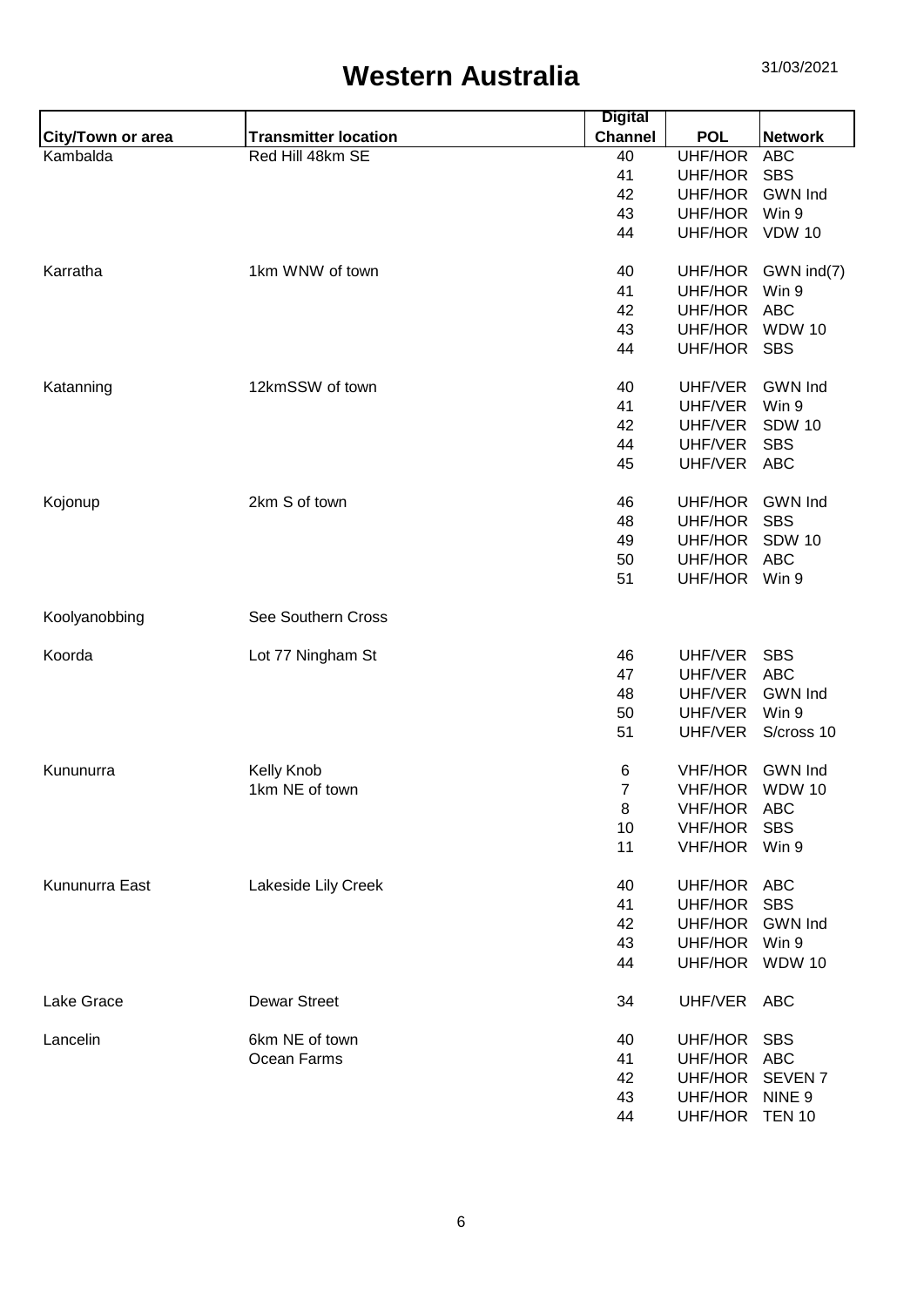|                          |                             | <b>Digital</b> |                |                    |
|--------------------------|-----------------------------|----------------|----------------|--------------------|
| <b>City/Town or area</b> | <b>Transmitter location</b> | <b>Channel</b> | <b>POL</b>     | <b>Network</b>     |
| Kambalda                 | Red Hill 48km SE            | 40             | UHF/HOR        | <b>ABC</b>         |
|                          |                             | 41             | UHF/HOR        | <b>SBS</b>         |
|                          |                             | 42             | UHF/HOR        | <b>GWN Ind</b>     |
|                          |                             | 43             | UHF/HOR        | Win 9              |
|                          |                             | 44             | UHF/HOR        | <b>VDW 10</b>      |
| Karratha                 | 1km WNW of town             | 40             | UHF/HOR        | GWN ind(7)         |
|                          |                             | 41             | UHF/HOR        | Win 9              |
|                          |                             | 42             | UHF/HOR        | <b>ABC</b>         |
|                          |                             | 43             | UHF/HOR        | <b>WDW 10</b>      |
|                          |                             | 44             | UHF/HOR        | <b>SBS</b>         |
| Katanning                | 12kmSSW of town             | 40             | UHF/VER        | <b>GWN Ind</b>     |
|                          |                             | 41             | UHF/VER        | Win 9              |
|                          |                             | 42             | UHF/VER        | <b>SDW 10</b>      |
|                          |                             | 44             | UHF/VER        | <b>SBS</b>         |
|                          |                             | 45             | UHF/VER        | <b>ABC</b>         |
| Kojonup                  | 2km S of town               | 46             | UHF/HOR        | <b>GWN Ind</b>     |
|                          |                             | 48             | UHF/HOR        | <b>SBS</b>         |
|                          |                             | 49             | UHF/HOR        | <b>SDW 10</b>      |
|                          |                             | 50             | UHF/HOR        | <b>ABC</b>         |
|                          |                             | 51             | UHF/HOR Win 9  |                    |
|                          |                             |                |                |                    |
| Koolyanobbing            | See Southern Cross          |                |                |                    |
| Koorda                   | Lot 77 Ningham St           | 46             | UHF/VER        | <b>SBS</b>         |
|                          |                             | 47             | UHF/VER        | <b>ABC</b>         |
|                          |                             | 48             | UHF/VER        | <b>GWN Ind</b>     |
|                          |                             | 50             | UHF/VER        | Win 9              |
|                          |                             | 51             | UHF/VER        | S/cross 10         |
| Kununurra                | Kelly Knob                  | 6              | <b>VHF/HOR</b> | <b>GWN Ind</b>     |
|                          | 1km NE of town              | $\overline{7}$ | VHF/HOR        | <b>WDW 10</b>      |
|                          |                             | 8              | <b>VHF/HOR</b> | ABC                |
|                          |                             | 10             | <b>VHF/HOR</b> | <b>SBS</b>         |
|                          |                             | 11             | <b>VHF/HOR</b> | Win 9              |
|                          |                             |                |                |                    |
| Kununurra East           | Lakeside Lily Creek         | 40             | UHF/HOR        | <b>ABC</b>         |
|                          |                             | 41             | UHF/HOR        | <b>SBS</b>         |
|                          |                             | 42             | UHF/HOR        | <b>GWN Ind</b>     |
|                          |                             | 43             | UHF/HOR        | Win 9              |
|                          |                             | 44             | UHF/HOR        | <b>WDW 10</b>      |
| Lake Grace               | <b>Dewar Street</b>         | 34             | UHF/VER        | <b>ABC</b>         |
| Lancelin                 | 6km NE of town              | 40             | UHF/HOR SBS    |                    |
|                          | Ocean Farms                 | 41             | UHF/HOR        | <b>ABC</b>         |
|                          |                             | 42             | UHF/HOR        | SEVEN <sub>7</sub> |
|                          |                             | 43             | UHF/HOR        | NINE <sub>9</sub>  |
|                          |                             | 44             | UHF/HOR TEN 10 |                    |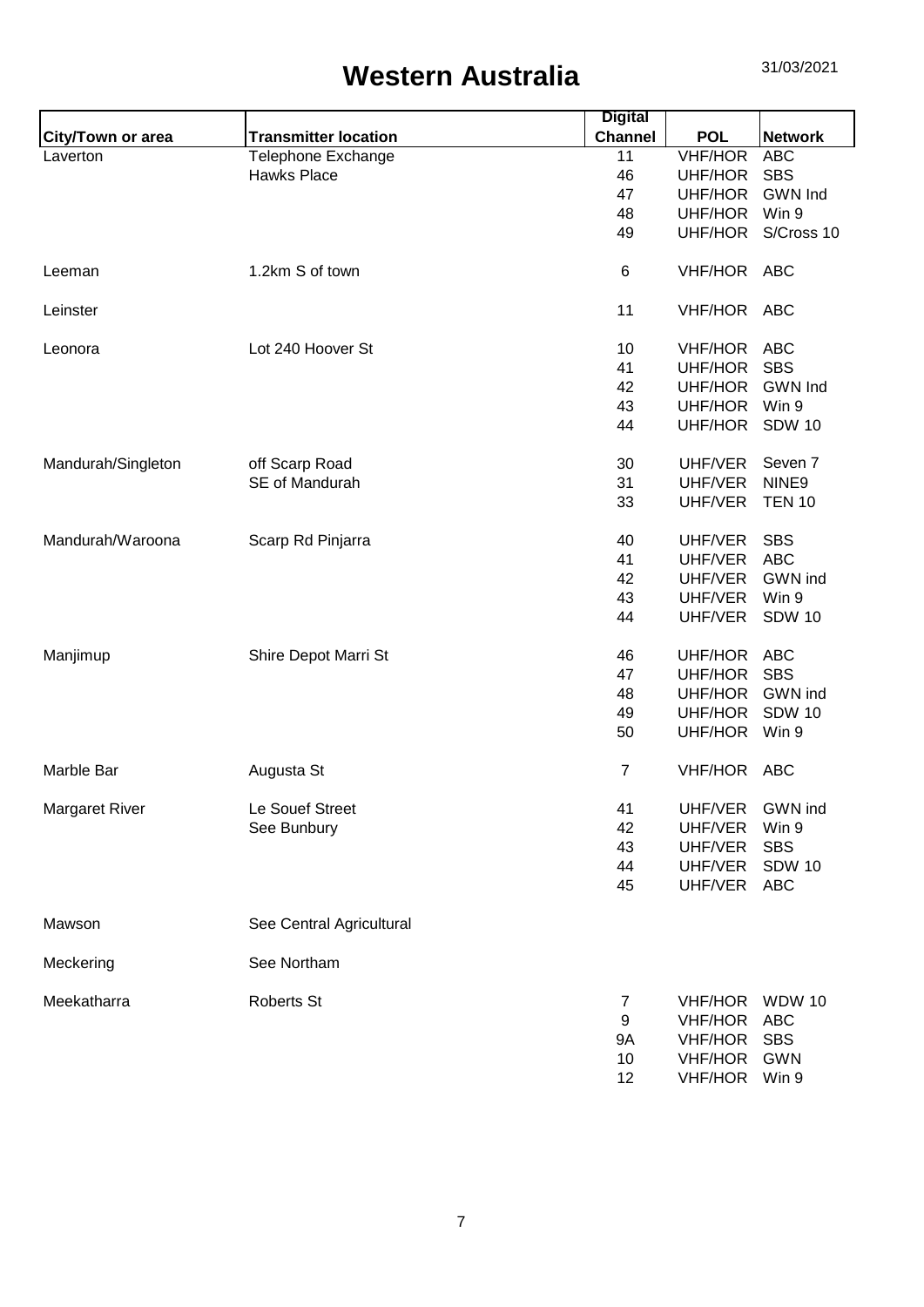|                       |                             | <b>Digital</b> |                |                    |
|-----------------------|-----------------------------|----------------|----------------|--------------------|
| City/Town or area     | <b>Transmitter location</b> | <b>Channel</b> | <b>POL</b>     | <b>Network</b>     |
| Laverton              | Telephone Exchange          | 11             | <b>VHF/HOR</b> | <b>ABC</b>         |
|                       | <b>Hawks Place</b>          | 46             | UHF/HOR        | <b>SBS</b>         |
|                       |                             | 47             | UHF/HOR        | <b>GWN Ind</b>     |
|                       |                             | 48             | UHF/HOR        | Win 9              |
|                       |                             | 49             | UHF/HOR        | S/Cross 10         |
| Leeman                | 1.2km S of town             | 6              | VHF/HOR ABC    |                    |
| Leinster              |                             | 11             | VHF/HOR ABC    |                    |
| Leonora               | Lot 240 Hoover St           | 10             | VHF/HOR ABC    |                    |
|                       |                             | 41             | UHF/HOR        | <b>SBS</b>         |
|                       |                             | 42             | UHF/HOR        | <b>GWN Ind</b>     |
|                       |                             | 43             | UHF/HOR        | Win 9              |
|                       |                             | 44             | UHF/HOR        | <b>SDW 10</b>      |
| Mandurah/Singleton    | off Scarp Road              | 30             | UHF/VER        | Seven <sub>7</sub> |
|                       | SE of Mandurah              | 31             | UHF/VER        | NINE9              |
|                       |                             | 33             | UHF/VER        | <b>TEN 10</b>      |
| Mandurah/Waroona      | Scarp Rd Pinjarra           | 40             | UHF/VER        | <b>SBS</b>         |
|                       |                             | 41             | UHF/VER        | <b>ABC</b>         |
|                       |                             | 42             | UHF/VER        | GWN ind            |
|                       |                             | 43             | UHF/VER        | Win 9              |
|                       |                             | 44             | UHF/VER        | <b>SDW 10</b>      |
| Manjimup              | Shire Depot Marri St        | 46             | UHF/HOR ABC    |                    |
|                       |                             | 47             | UHF/HOR        | <b>SBS</b>         |
|                       |                             | 48             | UHF/HOR        | <b>GWN</b> ind     |
|                       |                             | 49             | UHF/HOR        | <b>SDW 10</b>      |
|                       |                             | 50             | UHF/HOR        | Win 9              |
| Marble Bar            | Augusta St                  | $\overline{7}$ | VHF/HOR ABC    |                    |
| <b>Margaret River</b> | Le Souef Street             | 41             | UHF/VER        | GWN ind            |
|                       | See Bunbury                 | 42             | UHF/VER        | Win 9              |
|                       |                             | 43             | UHF/VER        | <b>SBS</b>         |
|                       |                             | 44             | UHF/VER        | <b>SDW 10</b>      |
|                       |                             | 45             | UHF/VER        | <b>ABC</b>         |
| Mawson                | See Central Agricultural    |                |                |                    |
| Meckering             | See Northam                 |                |                |                    |
| Meekatharra           | Roberts St                  | $\overline{7}$ | <b>VHF/HOR</b> | <b>WDW 10</b>      |
|                       |                             | 9              |                | <b>ABC</b>         |
|                       |                             |                | <b>VHF/HOR</b> |                    |
|                       |                             | 9Α             | <b>VHF/HOR</b> | <b>SBS</b>         |
|                       |                             | 10             | <b>VHF/HOR</b> | <b>GWN</b>         |
|                       |                             | 12             | VHF/HOR        | Win 9              |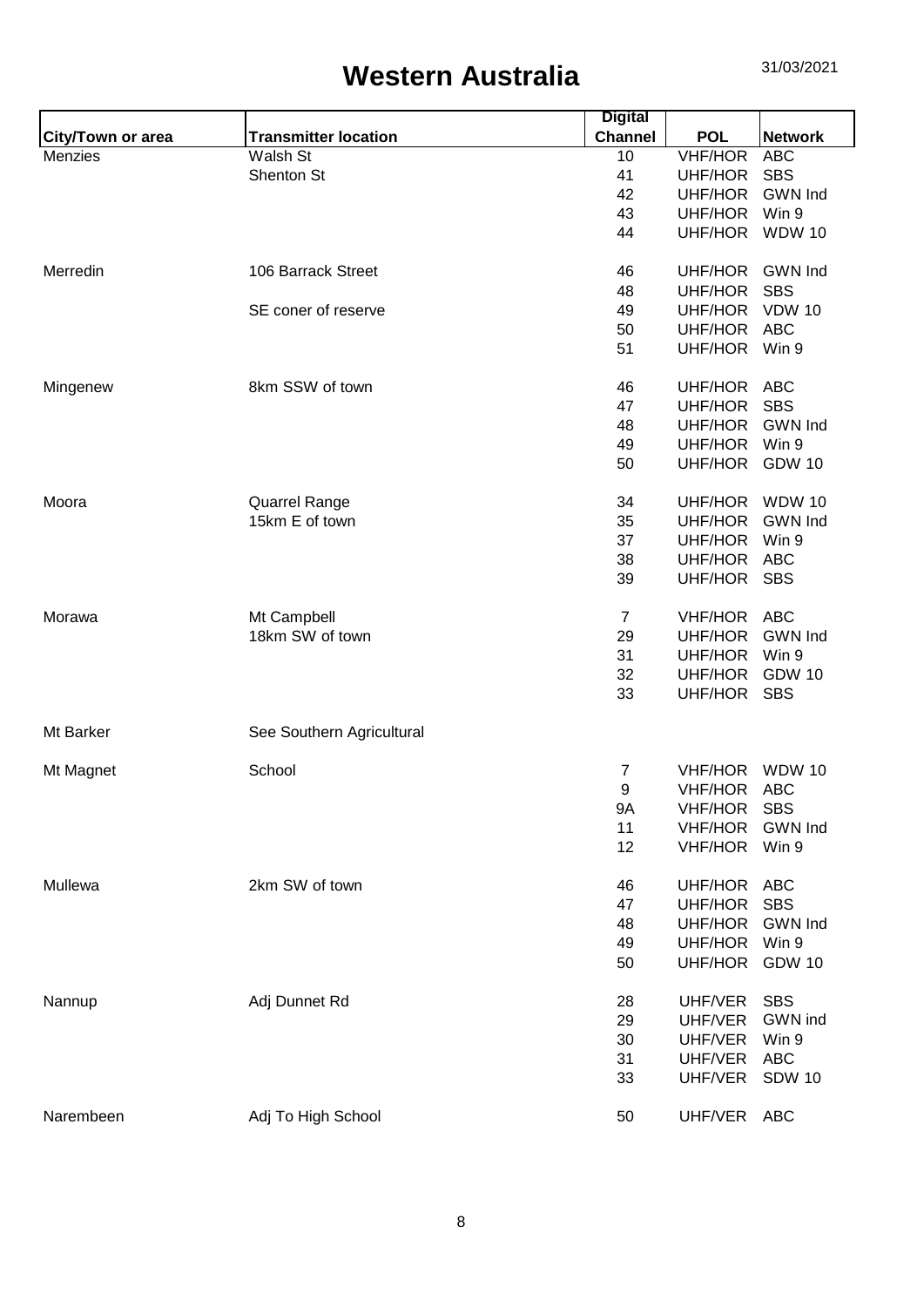|                          |                             | <b>Digital</b> |                |                |
|--------------------------|-----------------------------|----------------|----------------|----------------|
| <b>City/Town or area</b> | <b>Transmitter location</b> | <b>Channel</b> | <b>POL</b>     | <b>Network</b> |
| Menzies                  | Walsh St                    | 10             | <b>VHF/HOR</b> | <b>ABC</b>     |
|                          | Shenton St                  | 41             | UHF/HOR        | <b>SBS</b>     |
|                          |                             | 42             | UHF/HOR        | <b>GWN Ind</b> |
|                          |                             | 43             | UHF/HOR        | Win 9          |
|                          |                             | 44             | UHF/HOR        | <b>WDW 10</b>  |
| Merredin                 | 106 Barrack Street          | 46             | UHF/HOR        | <b>GWN Ind</b> |
|                          |                             | 48             | UHF/HOR        | <b>SBS</b>     |
|                          | SE coner of reserve         | 49             | UHF/HOR        | <b>VDW 10</b>  |
|                          |                             | 50             | UHF/HOR        | <b>ABC</b>     |
|                          |                             | 51             | UHF/HOR        | Win 9          |
| Mingenew                 | 8km SSW of town             | 46             | UHF/HOR        | <b>ABC</b>     |
|                          |                             | 47             | UHF/HOR        | <b>SBS</b>     |
|                          |                             | 48             | UHF/HOR        | <b>GWN Ind</b> |
|                          |                             | 49             | UHF/HOR        | Win 9          |
|                          |                             | 50             | UHF/HOR        | <b>GDW 10</b>  |
| Moora                    | <b>Quarrel Range</b>        | 34             | UHF/HOR        | <b>WDW 10</b>  |
|                          | 15km E of town              | 35             | UHF/HOR        | <b>GWN Ind</b> |
|                          |                             | 37             | UHF/HOR        | Win 9          |
|                          |                             | 38             | UHF/HOR        | <b>ABC</b>     |
|                          |                             | 39             | UHF/HOR        | <b>SBS</b>     |
| Morawa                   | Mt Campbell                 | $\overline{7}$ | VHF/HOR        | ABC            |
|                          | 18km SW of town             | 29             | UHF/HOR        | <b>GWN Ind</b> |
|                          |                             | 31             | UHF/HOR        | Win 9          |
|                          |                             | 32             | UHF/HOR        | <b>GDW 10</b>  |
|                          |                             | 33             | UHF/HOR SBS    |                |
| Mt Barker                | See Southern Agricultural   |                |                |                |
| Mt Magnet                | School                      | 7              | <b>VHF/HOR</b> | <b>WDW 10</b>  |
|                          |                             | 9              | VHF/HOR ABC    |                |
|                          |                             | 9A             | <b>VHF/HOR</b> | <b>SBS</b>     |
|                          |                             | 11             | <b>VHF/HOR</b> | <b>GWN Ind</b> |
|                          |                             | 12             | <b>VHF/HOR</b> | Win 9          |
| Mullewa                  | 2km SW of town              | 46             | UHF/HOR        | <b>ABC</b>     |
|                          |                             | 47             | UHF/HOR        | <b>SBS</b>     |
|                          |                             | 48             | UHF/HOR        | <b>GWN Ind</b> |
|                          |                             | 49             | UHF/HOR        | Win 9          |
|                          |                             | 50             | UHF/HOR        | <b>GDW 10</b>  |
|                          |                             |                |                |                |
| Nannup                   | Adj Dunnet Rd               | 28             | UHF/VER        | <b>SBS</b>     |
|                          |                             | 29             | UHF/VER        | GWN ind        |
|                          |                             | 30             | UHF/VER        | Win 9          |
|                          |                             | 31             | UHF/VER        | <b>ABC</b>     |
|                          |                             | 33             | UHF/VER        | <b>SDW 10</b>  |
| Narembeen                | Adj To High School          | 50             | UHF/VER ABC    |                |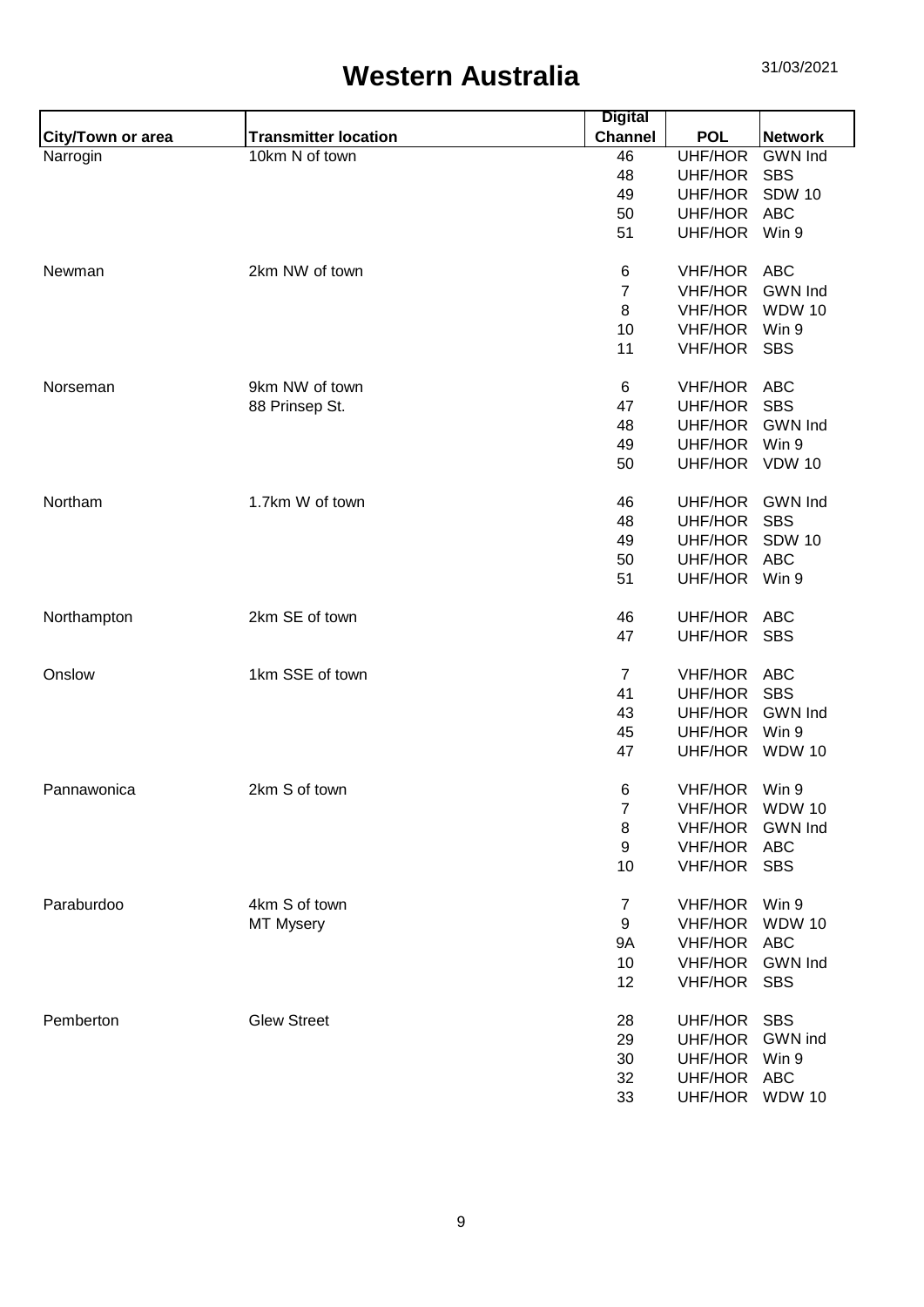|                   |                             | <b>Digital</b>   |                           |                |
|-------------------|-----------------------------|------------------|---------------------------|----------------|
| City/Town or area | <b>Transmitter location</b> | <b>Channel</b>   | <b>POL</b>                | <b>Network</b> |
| Narrogin          | 10km N of town              | 46               | UHF/HOR                   | <b>GWN</b> Ind |
|                   |                             | 48               | UHF/HOR                   | <b>SBS</b>     |
|                   |                             | 49               | UHF/HOR                   | <b>SDW 10</b>  |
|                   |                             | 50               | UHF/HOR                   | <b>ABC</b>     |
|                   |                             | 51               | UHF/HOR                   | Win 9          |
| Newman            | 2km NW of town              | 6                | <b>VHF/HOR</b>            | <b>ABC</b>     |
|                   |                             | $\overline{7}$   | <b>VHF/HOR</b>            | <b>GWN Ind</b> |
|                   |                             | 8                | <b>VHF/HOR</b>            | <b>WDW 10</b>  |
|                   |                             | 10               | <b>VHF/HOR</b>            | Win 9          |
|                   |                             | 11               | <b>VHF/HOR</b>            | <b>SBS</b>     |
|                   |                             |                  |                           |                |
| Norseman          | 9km NW of town              | 6                | <b>VHF/HOR</b>            | <b>ABC</b>     |
|                   | 88 Prinsep St.              | 47               | UHF/HOR                   | <b>SBS</b>     |
|                   |                             | 48               | UHF/HOR                   | <b>GWN Ind</b> |
|                   |                             | 49               | UHF/HOR                   | Win 9          |
|                   |                             | 50               | UHF/HOR VDW 10            |                |
| Northam           | 1.7km W of town             | 46               | UHF/HOR                   | <b>GWN Ind</b> |
|                   |                             | 48               | UHF/HOR                   | <b>SBS</b>     |
|                   |                             | 49               | UHF/HOR                   | <b>SDW 10</b>  |
|                   |                             | 50               | UHF/HOR                   | <b>ABC</b>     |
|                   |                             | 51               | UHF/HOR Win 9             |                |
| Northampton       | 2km SE of town              | 46               | UHF/HOR                   | <b>ABC</b>     |
|                   |                             | 47               | UHF/HOR SBS               |                |
|                   | 1km SSE of town             |                  |                           |                |
| Onslow            |                             | $\overline{7}$   | <b>VHF/HOR</b>            | <b>ABC</b>     |
|                   |                             | 41               | UHF/HOR                   | <b>SBS</b>     |
|                   |                             | 43               | UHF/HOR                   | <b>GWN Ind</b> |
|                   |                             | 45               | UHF/HOR<br>UHF/HOR WDW 10 | Win 9          |
|                   |                             | 47               |                           |                |
| Pannawonica       | 2km S of town               | 6                | VHF/HOR Win 9             |                |
|                   |                             | $\boldsymbol{7}$ | VHF/HOR                   | <b>WDW 10</b>  |
|                   |                             | 8                | <b>VHF/HOR</b>            | <b>GWN</b> Ind |
|                   |                             | $\boldsymbol{9}$ | <b>VHF/HOR</b>            | <b>ABC</b>     |
|                   |                             | 10               | VHF/HOR SBS               |                |
| Paraburdoo        | 4km S of town               | $\overline{7}$   | <b>VHF/HOR</b>            | Win 9          |
|                   | <b>MT Mysery</b>            | 9                | <b>VHF/HOR</b>            | <b>WDW 10</b>  |
|                   |                             | 9A               | <b>VHF/HOR</b>            | <b>ABC</b>     |
|                   |                             | 10               | <b>VHF/HOR</b>            | <b>GWN</b> Ind |
|                   |                             | 12               | VHF/HOR SBS               |                |
| Pemberton         | <b>Glew Street</b>          | 28               | UHF/HOR                   | <b>SBS</b>     |
|                   |                             | 29               | UHF/HOR                   | GWN ind        |
|                   |                             | 30               | UHF/HOR                   | Win 9          |
|                   |                             | 32               | UHF/HOR ABC               |                |
|                   |                             |                  |                           |                |
|                   |                             | 33               | UHF/HOR WDW 10            |                |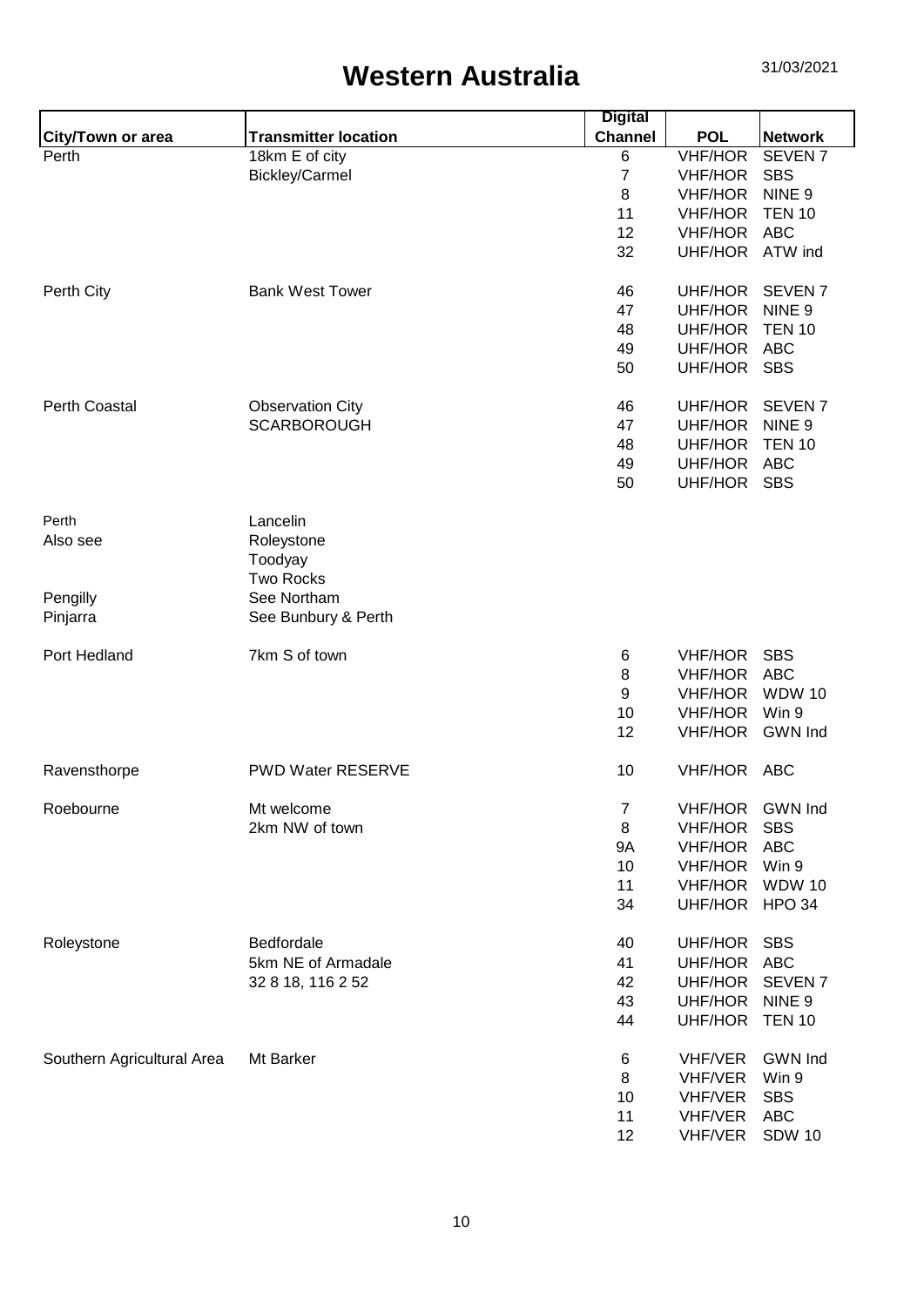|                            |                             | <b>Digital</b> |                 |                    |
|----------------------------|-----------------------------|----------------|-----------------|--------------------|
| City/Town or area          | <b>Transmitter location</b> | <b>Channel</b> | <b>POL</b>      | <b>Network</b>     |
| Perth                      | 18km E of city              | 6              | <b>VHF/HOR</b>  | SEVEN <sub>7</sub> |
|                            | Bickley/Carmel              | $\overline{7}$ | <b>VHF/HOR</b>  | <b>SBS</b>         |
|                            |                             | 8              | <b>VHF/HOR</b>  | NINE <sub>9</sub>  |
|                            |                             | 11             | <b>VHF/HOR</b>  | <b>TEN 10</b>      |
|                            |                             | 12             | VHF/HOR ABC     |                    |
|                            |                             | 32             | UHF/HOR ATW ind |                    |
| Perth City                 | <b>Bank West Tower</b>      | 46             | UHF/HOR         | <b>SEVEN7</b>      |
|                            |                             | 47             | <b>UHF/HOR</b>  | NINE <sub>9</sub>  |
|                            |                             | 48             | UHF/HOR         | <b>TEN 10</b>      |
|                            |                             | 49             | UHF/HOR         | <b>ABC</b>         |
|                            |                             | 50             | UHF/HOR SBS     |                    |
| <b>Perth Coastal</b>       | <b>Observation City</b>     | 46             | UHF/HOR         | <b>SEVEN7</b>      |
|                            | <b>SCARBOROUGH</b>          | 47             | UHF/HOR         | NINE <sub>9</sub>  |
|                            |                             | 48             | UHF/HOR         | <b>TEN 10</b>      |
|                            |                             | 49             | UHF/HOR ABC     |                    |
|                            |                             | 50             | UHF/HOR SBS     |                    |
| Perth                      | Lancelin                    |                |                 |                    |
| Also see                   | Roleystone                  |                |                 |                    |
|                            | Toodyay                     |                |                 |                    |
|                            | <b>Two Rocks</b>            |                |                 |                    |
| Pengilly                   | See Northam                 |                |                 |                    |
| Pinjarra                   | See Bunbury & Perth         |                |                 |                    |
| Port Hedland               | 7km S of town               | 6              | <b>VHF/HOR</b>  | <b>SBS</b>         |
|                            |                             | 8              | VHF/HOR ABC     |                    |
|                            |                             | 9              | <b>VHF/HOR</b>  | <b>WDW 10</b>      |
|                            |                             | 10             | <b>VHF/HOR</b>  | Win 9              |
|                            |                             | 12             | <b>VHF/HOR</b>  | <b>GWN Ind</b>     |
| Ravensthorpe               | <b>PWD Water RESERVE</b>    | 10             | VHF/HOR ABC     |                    |
| Roebourne                  | Mt welcome                  | $\overline{7}$ | <b>VHF/HOR</b>  | <b>GWN Ind</b>     |
|                            | 2km NW of town              | 8              | <b>VHF/HOR</b>  | <b>SBS</b>         |
|                            |                             | <b>9A</b>      | <b>VHF/HOR</b>  | <b>ABC</b>         |
|                            |                             | 10             | <b>VHF/HOR</b>  | Win 9              |
|                            |                             | 11             | <b>VHF/HOR</b>  | <b>WDW 10</b>      |
|                            |                             | 34             | UHF/HOR HPO 34  |                    |
| Roleystone                 | Bedfordale                  | 40             | UHF/HOR         | <b>SBS</b>         |
|                            | 5km NE of Armadale          | 41             | UHF/HOR         | <b>ABC</b>         |
|                            | 32 8 18, 116 2 52           | 42             | UHF/HOR         | SEVEN <sub>7</sub> |
|                            |                             | 43             | UHF/HOR         | NINE <sub>9</sub>  |
|                            |                             | 44             | UHF/HOR         | <b>TEN 10</b>      |
| Southern Agricultural Area | Mt Barker                   | 6              | <b>VHF/VER</b>  | <b>GWN Ind</b>     |
|                            |                             | 8              | <b>VHF/VER</b>  | Win 9              |
|                            |                             | 10             | <b>VHF/VER</b>  | <b>SBS</b>         |
|                            |                             | 11             | VHF/VER         | <b>ABC</b>         |
|                            |                             | 12             | VHF/VER         | <b>SDW 10</b>      |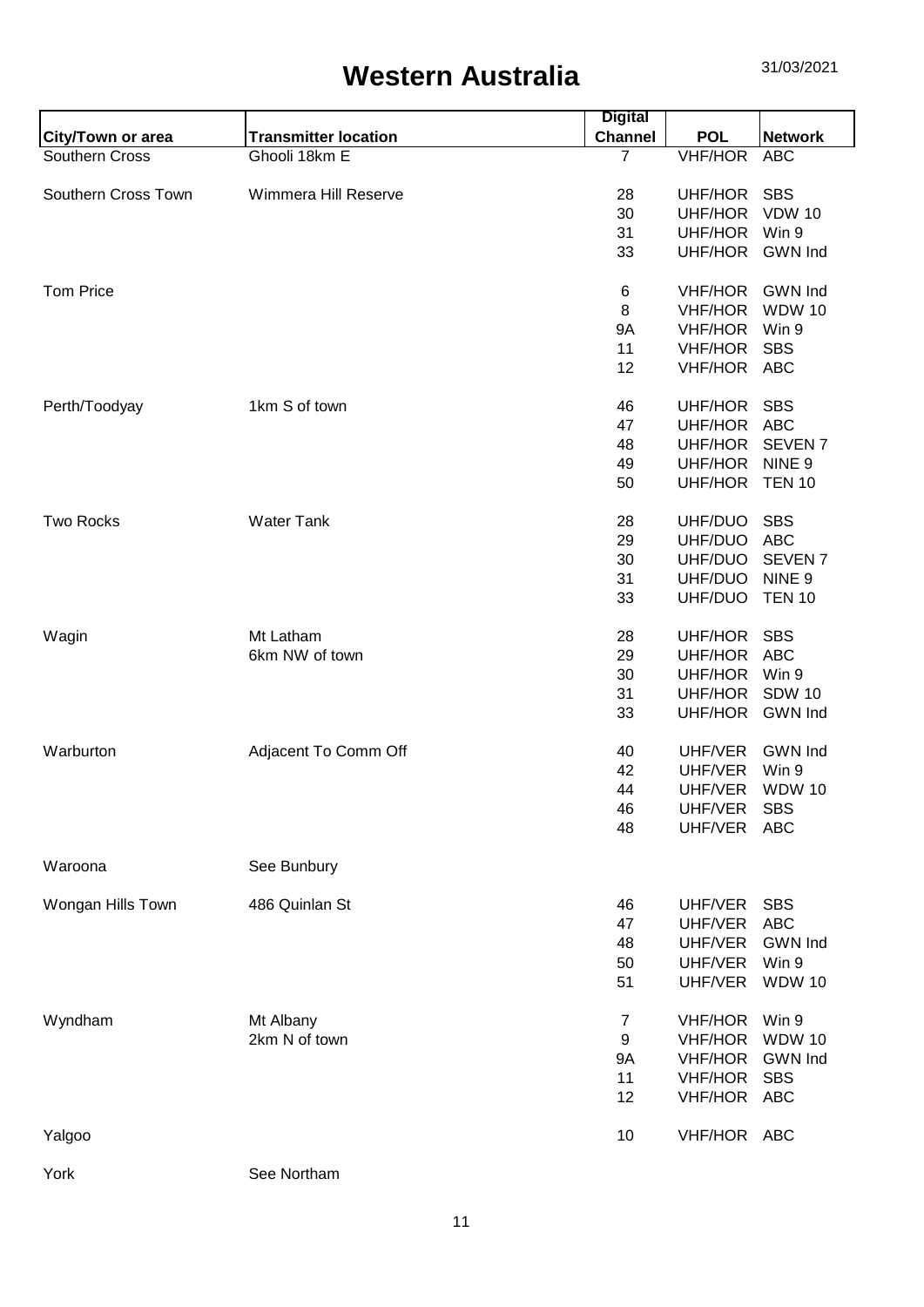|                          |                             | <b>Digital</b> |                |                    |
|--------------------------|-----------------------------|----------------|----------------|--------------------|
| <b>City/Town or area</b> | <b>Transmitter location</b> | <b>Channel</b> | <b>POL</b>     | <b>Network</b>     |
| Southern Cross           | Ghooli 18km E               | $\overline{7}$ | <b>VHF/HOR</b> | <b>ABC</b>         |
|                          |                             |                |                |                    |
| Southern Cross Town      | Wimmera Hill Reserve        | 28             | UHF/HOR        | <b>SBS</b>         |
|                          |                             | 30             | UHF/HOR        | <b>VDW 10</b>      |
|                          |                             | 31             | UHF/HOR        | Win 9              |
|                          |                             | 33             | UHF/HOR        | <b>GWN Ind</b>     |
| <b>Tom Price</b>         |                             |                |                | <b>GWN Ind</b>     |
|                          |                             | 6              | VHF/HOR        |                    |
|                          |                             | 8              | <b>VHF/HOR</b> | <b>WDW 10</b>      |
|                          |                             | <b>9A</b>      | <b>VHF/HOR</b> | Win 9              |
|                          |                             | 11             | <b>VHF/HOR</b> | <b>SBS</b>         |
|                          |                             | 12             | <b>VHF/HOR</b> | ABC                |
| Perth/Toodyay            | 1km S of town               | 46             | UHF/HOR        | <b>SBS</b>         |
|                          |                             | 47             | UHF/HOR        | <b>ABC</b>         |
|                          |                             | 48             | UHF/HOR        | SEVEN <sub>7</sub> |
|                          |                             |                |                |                    |
|                          |                             | 49             | <b>UHF/HOR</b> | NINE <sub>9</sub>  |
|                          |                             | 50             | UHF/HOR        | <b>TEN 10</b>      |
| <b>Two Rocks</b>         | <b>Water Tank</b>           | 28             | UHF/DUO        | <b>SBS</b>         |
|                          |                             | 29             | UHF/DUO        | <b>ABC</b>         |
|                          |                             | 30             | UHF/DUO        | SEVEN <sub>7</sub> |
|                          |                             | 31             | UHF/DUO        | NINE <sub>9</sub>  |
|                          |                             | 33             | UHF/DUO        | <b>TEN 10</b>      |
|                          |                             |                |                |                    |
| Wagin                    | Mt Latham                   | 28             | UHF/HOR        | <b>SBS</b>         |
|                          | 6km NW of town              | 29             | UHF/HOR        | <b>ABC</b>         |
|                          |                             | 30             | UHF/HOR        | Win 9              |
|                          |                             |                |                |                    |
|                          |                             | 31             | UHF/HOR        | <b>SDW 10</b>      |
|                          |                             | 33             | UHF/HOR        | <b>GWN Ind</b>     |
| Warburton                | Adjacent To Comm Off        | 40             | UHF/VER        | <b>GWN Ind</b>     |
|                          |                             | 42             | UHF/VER        | Win 9              |
|                          |                             | 44             | UHF/VER        | <b>WDW 10</b>      |
|                          |                             | 46             | UHF/VER        | <b>SBS</b>         |
|                          |                             |                |                | <b>ABC</b>         |
|                          |                             | 48             | UHF/VER        |                    |
| Waroona                  | See Bunbury                 |                |                |                    |
| Wongan Hills Town        | 486 Quinlan St              | 46             | UHF/VER        | <b>SBS</b>         |
|                          |                             | 47             | UHF/VER        | <b>ABC</b>         |
|                          |                             |                | UHF/VER        | <b>GWN</b> Ind     |
|                          |                             | 48             |                |                    |
|                          |                             | 50             | UHF/VER        | Win 9              |
|                          |                             | 51             | UHF/VER        | <b>WDW 10</b>      |
| Wyndham                  | Mt Albany                   | $\overline{7}$ | <b>VHF/HOR</b> | Win 9              |
|                          | 2km N of town               | 9              | <b>VHF/HOR</b> | <b>WDW 10</b>      |
|                          |                             | <b>9A</b>      | <b>VHF/HOR</b> | <b>GWN Ind</b>     |
|                          |                             | 11             | <b>VHF/HOR</b> | <b>SBS</b>         |
|                          |                             |                |                |                    |
|                          |                             | 12             | VHF/HOR        | ABC                |
| Yalgoo                   |                             | 10             | VHF/HOR ABC    |                    |
| York                     | See Northam                 |                |                |                    |